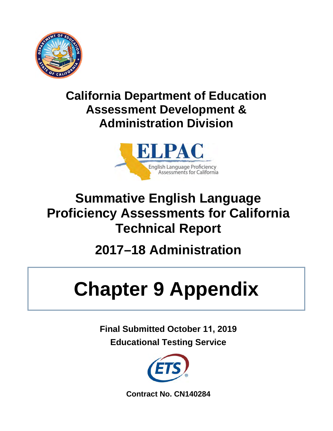

## **California Department of Education Assessment Development & Administration Division**



## **Summative English Language Proficiency Assessments for California Technical Report**

# **2017–18 Administration**

# **Chapter 9 Appendix**

**Final Submitted October 11, 2019 Educational Testing Service**



**Contract No. CN140284**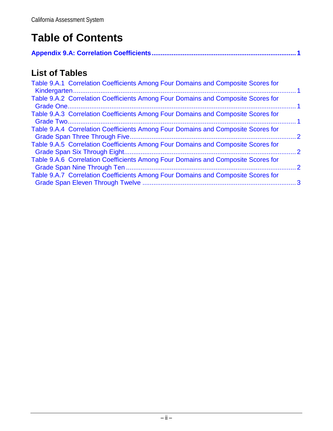## **Table of Contents**

|--|--|

## **List of Tables**

| Table 9.A.1 Correlation Coefficients Among Four Domains and Composite Scores for |               |
|----------------------------------------------------------------------------------|---------------|
| Table 9.A.2 Correlation Coefficients Among Four Domains and Composite Scores for |               |
| Table 9.A.3 Correlation Coefficients Among Four Domains and Composite Scores for |               |
| Table 9.A.4 Correlation Coefficients Among Four Domains and Composite Scores for | $\mathcal{P}$ |
| Table 9.A.5 Correlation Coefficients Among Four Domains and Composite Scores for | $\mathcal{P}$ |
| Table 9.A.6 Correlation Coefficients Among Four Domains and Composite Scores for | $\cdot$ 2     |
| Table 9.A.7 Correlation Coefficients Among Four Domains and Composite Scores for |               |
|                                                                                  |               |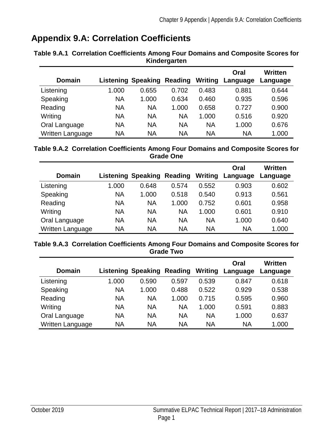### <span id="page-2-0"></span>**Appendix 9.A: Correlation Coefficients**

| <b>Domain</b>    |           | <b>Listening Speaking</b> | Reading   | Writing   | Oral<br>Language | Written<br>Language |
|------------------|-----------|---------------------------|-----------|-----------|------------------|---------------------|
| Listening        | 1.000     | 0.655                     | 0.702     | 0.483     | 0.881            | 0.644               |
| Speaking         | <b>NA</b> | 1.000                     | 0.634     | 0.460     | 0.935            | 0.596               |
| Reading          | <b>NA</b> | <b>NA</b>                 | 1.000     | 0.658     | 0.727            | 0.900               |
| Writing          | <b>NA</b> | <b>NA</b>                 | <b>NA</b> | 1.000     | 0.516            | 0.920               |
| Oral Language    | <b>NA</b> | <b>NA</b>                 | <b>NA</b> | <b>NA</b> | 1.000            | 0.676               |
| Written Language | <b>NA</b> | <b>NA</b>                 | <b>NA</b> | <b>NA</b> | <b>NA</b>        | 1.000               |

#### <span id="page-2-1"></span>**Table 9.A.1 Correlation Coefficients Among Four Domains and Composite Scores for Kindergarten**

#### <span id="page-2-2"></span>**Table 9.A.2 Correlation Coefficients Among Four Domains and Composite Scores for Grade One**

| <b>Domain</b>    |           | <b>Listening Speaking</b> | Reading   | Writing   | Oral<br>Language | Written<br>Language |
|------------------|-----------|---------------------------|-----------|-----------|------------------|---------------------|
| Listening        | 1.000     | 0.648                     | 0.574     | 0.552     | 0.903            | 0.602               |
| Speaking         | NA        | 1.000                     | 0.518     | 0.540     | 0.913            | 0.561               |
| Reading          | NA        | <b>NA</b>                 | 1.000     | 0.752     | 0.601            | 0.958               |
| Writing          | <b>NA</b> | <b>NA</b>                 | <b>NA</b> | 1.000     | 0.601            | 0.910               |
| Oral Language    | NA        | <b>NA</b>                 | <b>NA</b> | <b>NA</b> | 1.000            | 0.640               |
| Written Language | NA        | <b>NA</b>                 | <b>NA</b> | <b>NA</b> | <b>NA</b>        | 1.000               |

#### <span id="page-2-3"></span>**Table 9.A.3 Correlation Coefficients Among Four Domains and Composite Scores for Grade Two**

| <b>Domain</b>    |           | <b>Listening Speaking</b> | Reading   | Writing   | Oral<br>Language | Written<br>Language |
|------------------|-----------|---------------------------|-----------|-----------|------------------|---------------------|
| Listening        | 1.000     | 0.590                     | 0.597     | 0.539     | 0.847            | 0.618               |
| Speaking         | <b>NA</b> | 1.000                     | 0.488     | 0.522     | 0.929            | 0.538               |
| Reading          | <b>NA</b> | <b>NA</b>                 | 1.000     | 0.715     | 0.595            | 0.960               |
| Writing          | <b>NA</b> | <b>NA</b>                 | <b>NA</b> | 1.000     | 0.591            | 0.883               |
| Oral Language    | <b>NA</b> | <b>NA</b>                 | <b>NA</b> | <b>NA</b> | 1.000            | 0.637               |
| Written Language | ΝA        | <b>NA</b>                 | <b>NA</b> | <b>NA</b> | <b>NA</b>        | 1.000               |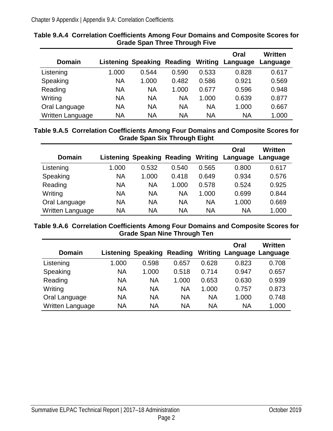| <b>Domain</b>    |           | <b>Listening Speaking</b> | Reading   | Writing   | Oral<br>Language | <b>Written</b><br>Language |
|------------------|-----------|---------------------------|-----------|-----------|------------------|----------------------------|
| Listening        | 1.000     | 0.544                     | 0.590     | 0.533     | 0.828            | 0.617                      |
| Speaking         | <b>NA</b> | 1.000                     | 0.482     | 0.586     | 0.921            | 0.569                      |
| Reading          | <b>NA</b> | <b>NA</b>                 | 1.000     | 0.677     | 0.596            | 0.948                      |
| Writing          | <b>NA</b> | <b>NA</b>                 | <b>NA</b> | 1.000     | 0.639            | 0.877                      |
| Oral Language    | <b>NA</b> | <b>NA</b>                 | <b>NA</b> | <b>NA</b> | 1.000            | 0.667                      |
| Written Language | <b>NA</b> | ΝA                        | <b>NA</b> | <b>NA</b> | <b>NA</b>        | 1.000                      |

#### <span id="page-3-0"></span>**Table 9.A.4 Correlation Coefficients Among Four Domains and Composite Scores for Grade Span Three Through Five**

#### <span id="page-3-1"></span>**Table 9.A.5 Correlation Coefficients Among Four Domains and Composite Scores for Grade Span Six Through Eight**

| <b>Domain</b>    |       | <b>Listening Speaking</b> | Reading   | Writing   | Oral<br>Language | Written<br>Language |
|------------------|-------|---------------------------|-----------|-----------|------------------|---------------------|
| Listening        | 1.000 | 0.532                     | 0.540     | 0.565     | 0.800            | 0.617               |
| Speaking         | NA    | 1.000                     | 0.418     | 0.649     | 0.934            | 0.576               |
| Reading          | NA    | <b>NA</b>                 | 1.000     | 0.578     | 0.524            | 0.925               |
| Writing          | NA    | <b>NA</b>                 | <b>NA</b> | 1.000     | 0.699            | 0.844               |
| Oral Language    | NA    | <b>NA</b>                 | <b>NA</b> | <b>NA</b> | 1.000            | 0.669               |
| Written Language | NA    | NA                        | <b>NA</b> | <b>NA</b> | <b>NA</b>        | 1.000               |

#### <span id="page-3-2"></span>**Table 9.A.6 Correlation Coefficients Among Four Domains and Composite Scores for Grade Span Nine Through Ten**

| <b>Domain</b>    |           | <b>Listening Speaking</b> | Reading   | Writing   | Oral<br>Language Language | Written |
|------------------|-----------|---------------------------|-----------|-----------|---------------------------|---------|
| Listening        | 1.000     | 0.598                     | 0.657     | 0.628     | 0.823                     | 0.708   |
| Speaking         | <b>NA</b> | 1.000                     | 0.518     | 0.714     | 0.947                     | 0.657   |
| Reading          | <b>NA</b> | <b>NA</b>                 | 1.000     | 0.653     | 0.630                     | 0.939   |
| Writing          | <b>NA</b> | <b>NA</b>                 | <b>NA</b> | 1.000     | 0.757                     | 0.873   |
| Oral Language    | <b>NA</b> | <b>NA</b>                 | <b>NA</b> | <b>NA</b> | 1.000                     | 0.748   |
| Written Language | <b>NA</b> | <b>NA</b>                 | <b>NA</b> | <b>NA</b> | <b>NA</b>                 | 1.000   |